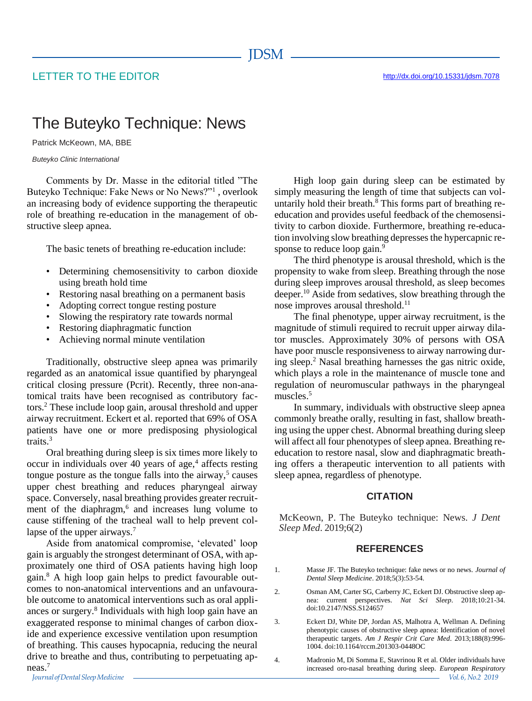# LETTER TO THE EDITOR

# The Buteyko Technique: News

Patrick McKeown, MA, BBE

#### *Buteyko Clinic International*

Comments by Dr. Masse in the editorial titled "The Buteyko Technique: Fake News or No News?"<sup>1</sup> , overlook an increasing body of evidence supporting the therapeutic role of breathing re-education in the management of obstructive sleep apnea.

The basic tenets of breathing re-education include:

- Determining chemosensitivity to carbon dioxide using breath hold time
- Restoring nasal breathing on a permanent basis
- Adopting correct tongue resting posture
- Slowing the respiratory rate towards normal
- Restoring diaphragmatic function
- Achieving normal minute ventilation

Traditionally, obstructive sleep apnea was primarily regarded as an anatomical issue quantified by pharyngeal critical closing pressure (Pcrit). Recently, three non-anatomical traits have been recognised as contributory factors.<sup>2</sup> These include loop gain, arousal threshold and upper airway recruitment. Eckert et al. reported that 69% of OSA patients have one or more predisposing physiological traits.<sup>3</sup>

Oral breathing during sleep is six times more likely to occur in individuals over 40 years of age,<sup>4</sup> affects resting tongue posture as the tongue falls into the airway,<sup>5</sup> causes upper chest breathing and reduces pharyngeal airway space. Conversely, nasal breathing provides greater recruitment of the diaphragm,<sup>6</sup> and increases lung volume to cause stiffening of the tracheal wall to help prevent collapse of the upper airways.<sup>7</sup>

Aside from anatomical compromise, 'elevated' loop gain is arguably the strongest determinant of OSA, with approximately one third of OSA patients having high loop gain.<sup>8</sup> A high loop gain helps to predict favourable outcomes to non-anatomical interventions and an unfavourable outcome to anatomical interventions such as oral appliances or surgery.<sup>8</sup> Individuals with high loop gain have an exaggerated response to minimal changes of carbon dioxide and experience excessive ventilation upon resumption of breathing. This causes hypocapnia, reducing the neural drive to breathe and thus, contributing to perpetuating apneas.<sup>7</sup>

High loop gain during sleep can be estimated by simply measuring the length of time that subjects can voluntarily hold their breath. $8$  This forms part of breathing reeducation and provides useful feedback of the chemosensitivity to carbon dioxide. Furthermore, breathing re-education involving slow breathing depresses the hypercapnic response to reduce loop gain.<sup>9</sup>

The third phenotype is arousal threshold, which is the propensity to wake from sleep. Breathing through the nose during sleep improves arousal threshold, as sleep becomes deeper.<sup>10</sup> Aside from sedatives, slow breathing through the nose improves arousal threshold.<sup>11</sup>

The final phenotype, upper airway recruitment, is the magnitude of stimuli required to recruit upper airway dilator muscles. Approximately 30% of persons with OSA have poor muscle responsiveness to airway narrowing during sleep.<sup>2</sup> Nasal breathing harnesses the gas nitric oxide, which plays a role in the maintenance of muscle tone and regulation of neuromuscular pathways in the pharyngeal muscles.<sup>5</sup>

In summary, individuals with obstructive sleep apnea commonly breathe orally, resulting in fast, shallow breathing using the upper chest. Abnormal breathing during sleep will affect all four phenotypes of sleep apnea. Breathing reeducation to restore nasal, slow and diaphragmatic breathing offers a therapeutic intervention to all patients with sleep apnea, regardless of phenotype.

## **CITATION**

McKeown, P. The Buteyko technique: News. *J Dent Sleep Med*. 2019;6(2)

#### **REFERENCES**

- 1. Masse JF. The Buteyko technique: fake news or no news. *Journal of Dental Sleep Medicine*. 2018;5(3):53-54.
- 2. Osman AM, Carter SG, Carberry JC, Eckert DJ. Obstructive sleep apnea: current perspectives. *Nat Sci Sleep*. 2018;10:21-34. doi:10.2147/NSS.S124657
- 3. Eckert DJ, White DP, Jordan AS, Malhotra A, Wellman A. Defining phenotypic causes of obstructive sleep apnea: Identification of novel therapeutic targets. *Am J Respir Crit Care Med*. 2013;188(8):996- 1004. doi:10.1164/rccm.201303-0448OC
- *Journal ofDentalSleepMedicine Vol. 6, No.2 2019* 4. Madronio M, Di Somma E, Stavrinou R et al. Older individuals have increased oro-nasal breathing during sleep. *European Respiratory*